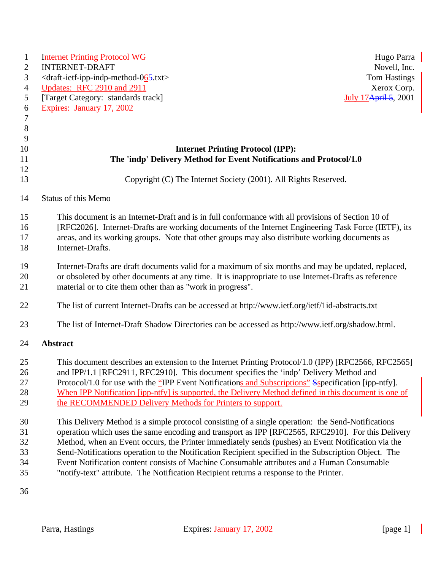| $\mathbf{1}$   | <b>Internet Printing Protocol WG</b>                                                                  | Hugo Parra                   |
|----------------|-------------------------------------------------------------------------------------------------------|------------------------------|
| 2              | <b>INTERNET-DRAFT</b>                                                                                 | Novell, Inc.                 |
| 3              | <draft-ietf-ipp-indp-method-065.txt></draft-ietf-ipp-indp-method-065.txt>                             | Tom Hastings                 |
| $\overline{4}$ | Updates: RFC 2910 and 2911                                                                            | Xerox Corp.                  |
| 5              | [Target Category: standards track]                                                                    | <b>July 17 April 5, 2001</b> |
| 6              | Expires: January 17, 2002                                                                             |                              |
| $\tau$         |                                                                                                       |                              |
| $8\phantom{1}$ |                                                                                                       |                              |
| 9              |                                                                                                       |                              |
| 10             | <b>Internet Printing Protocol (IPP):</b>                                                              |                              |
| 11             | The 'indp' Delivery Method for Event Notifications and Protocol/1.0                                   |                              |
| 12             |                                                                                                       |                              |
| 13             | Copyright (C) The Internet Society (2001). All Rights Reserved.                                       |                              |
| 14             | <b>Status of this Memo</b>                                                                            |                              |
| 15             | This document is an Internet-Draft and is in full conformance with all provisions of Section 10 of    |                              |
| 16             | [RFC2026]. Internet-Drafts are working documents of the Internet Engineering Task Force (IETF), its   |                              |
| 17             | areas, and its working groups. Note that other groups may also distribute working documents as        |                              |
| 18             | Internet-Drafts.                                                                                      |                              |
| 19             | Internet-Drafts are draft documents valid for a maximum of six months and may be updated, replaced,   |                              |
| 20             | or obsoleted by other documents at any time. It is inappropriate to use Internet-Drafts as reference  |                              |
| 21             | material or to cite them other than as "work in progress".                                            |                              |
| 22             | The list of current Internet-Drafts can be accessed at http://www.ietf.org/ietf/1id-abstracts.txt     |                              |
| 23             | The list of Internet-Draft Shadow Directories can be accessed as http://www.ietf.org/shadow.html.     |                              |
| 24             | <b>Abstract</b>                                                                                       |                              |
| 25             | This document describes an extension to the Internet Printing Protocol/1.0 (IPP) [RFC2566, RFC2565]   |                              |
| 26             | and IPP/1.1 [RFC2911, RFC2910]. This document specifies the 'indp' Delivery Method and                |                              |
| 27             | Protocol/1.0 for use with the "IPP Event Notifications and Subscriptions" Sspecification [ipp-ntfy].  |                              |
| 28             | When IPP Notification [ipp-ntfy] is supported, the Delivery Method defined in this document is one of |                              |
| 29             | the RECOMMENDED Delivery Methods for Printers to support.                                             |                              |
| 30             | This Delivery Method is a simple protocol consisting of a single operation: the Send-Notifications    |                              |
| 31             | operation which uses the same encoding and transport as IPP [RFC2565, RFC2910]. For this Delivery     |                              |
| 32             | Method, when an Event occurs, the Printer immediately sends (pushes) an Event Notification via the    |                              |
| 33             | Send-Notifications operation to the Notification Recipient specified in the Subscription Object. The  |                              |
| 34             | Event Notification content consists of Machine Consumable attributes and a Human Consumable           |                              |
| 35             | "notify-text" attribute. The Notification Recipient returns a response to the Printer.                |                              |
| 36             |                                                                                                       |                              |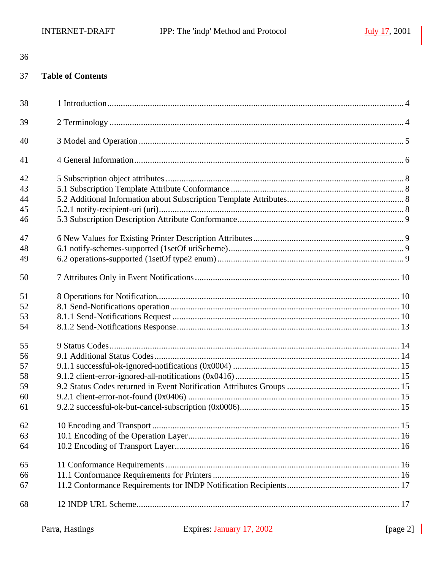#### 37 **Table of Contents**

| 38 |  |
|----|--|
| 39 |  |
| 40 |  |
| 41 |  |
| 42 |  |
| 43 |  |
| 44 |  |
| 45 |  |
| 46 |  |
| 47 |  |
| 48 |  |
| 49 |  |
| 50 |  |
| 51 |  |
| 52 |  |
| 53 |  |
| 54 |  |
| 55 |  |
| 56 |  |
| 57 |  |
| 58 |  |
| 59 |  |
| 60 |  |
| 61 |  |
| 62 |  |
| 63 |  |
| 64 |  |
| 65 |  |
| 66 |  |
| 67 |  |
| 68 |  |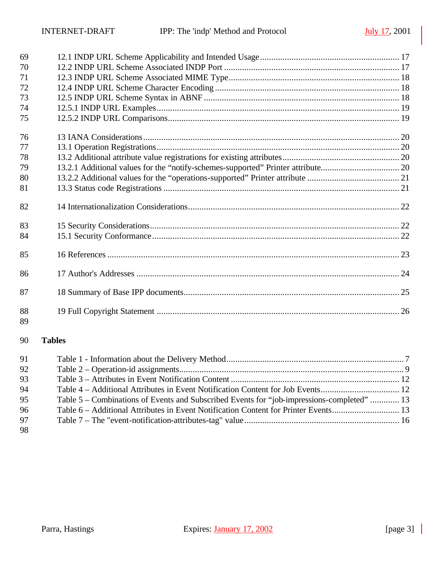| 69       |               |  |
|----------|---------------|--|
| 70       |               |  |
| 71       |               |  |
| 72       |               |  |
| 73       |               |  |
| 74       |               |  |
| 75       |               |  |
| 76       |               |  |
| 77       |               |  |
| 78       |               |  |
| 79       |               |  |
| 80       |               |  |
| 81       |               |  |
| 82       |               |  |
| 83       |               |  |
| 84       |               |  |
| 85       |               |  |
| 86       |               |  |
| 87       |               |  |
| 88<br>89 |               |  |
| 90       | <b>Tables</b> |  |
| 91       |               |  |
| 92       |               |  |

| 92  |                                                                                            |  |
|-----|--------------------------------------------------------------------------------------------|--|
| 93. |                                                                                            |  |
| 94  |                                                                                            |  |
| 95  | Table 5 – Combinations of Events and Subscribed Events for "job-impressions-completed"  13 |  |
| 96  | Table 6 – Additional Attributes in Event Notification Content for Printer Events 13        |  |
| 97  |                                                                                            |  |
|     |                                                                                            |  |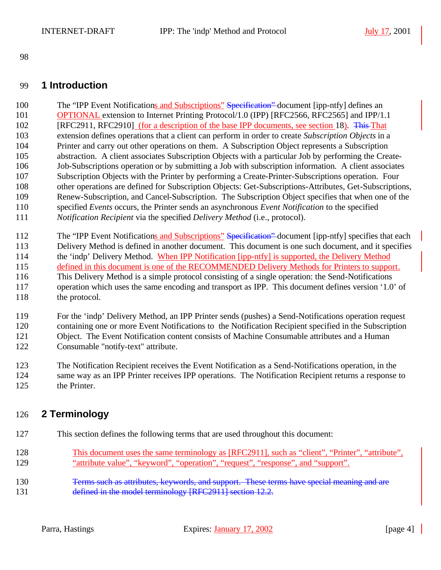# **1 Introduction**

100 The "IPP Event Notifications and Subscriptions" Specification" document [ipp-ntfy] defines an OPTIONAL extension to Internet Printing Protocol/1.0 (IPP) [RFC2566, RFC2565] and IPP/1.1 102 [RFC2911, RFC2910] (for a description of the base IPP documents, see section 18). This That extension defines operations that a client can perform in order to create *Subscription Objects* in a Printer and carry out other operations on them. A Subscription Object represents a Subscription abstraction. A client associates Subscription Objects with a particular Job by performing the Create- Job-Subscriptions operation or by submitting a Job with subscription information. A client associates Subscription Objects with the Printer by performing a Create-Printer-Subscriptions operation. Four other operations are defined for Subscription Objects: Get-Subscriptions-Attributes, Get-Subscriptions, Renew-Subscription, and Cancel-Subscription. The Subscription Object specifies that when one of the specified *Events* occurs, the Printer sends an asynchronous *Event Notification* to the specified *Notification Recipient* via the specified *Delivery Method* (i.e., protocol).

- 112 The "IPP Event Notifications and Subscriptions" Specification" document [ipp-ntfy] specifies that each
- Delivery Method is defined in another document. This document is one such document, and it specifies 114 the 'indp' Delivery Method. When IPP Notification [ipp-ntfy] is supported, the Delivery Method
- 115 defined in this document is one of the RECOMMENDED Delivery Methods for Printers to support.
- This Delivery Method is a simple protocol consisting of a single operation: the Send-Notifications operation which uses the same encoding and transport as IPP. This document defines version '1.0' of 118 the protocol.
- For the 'indp' Delivery Method, an IPP Printer sends (pushes) a Send-Notifications operation request containing one or more Event Notifications to the Notification Recipient specified in the Subscription Object. The Event Notification content consists of Machine Consumable attributes and a Human Consumable "notify-text" attribute.
- The Notification Recipient receives the Event Notification as a Send-Notifications operation, in the same way as an IPP Printer receives IPP operations. The Notification Recipient returns a response to the Printer.

# **2 Terminology**

- This section defines the following terms that are used throughout this document:
- This document uses the same terminology as [RFC2911], such as "client", "Printer", "attribute", "attribute value", "keyword", "operation", "request", "response", and "support".
- **Terms such as attributes, keywords, and support. These terms have special meaning and are** 131 defined in the model terminology [RFC2911] section 12.2.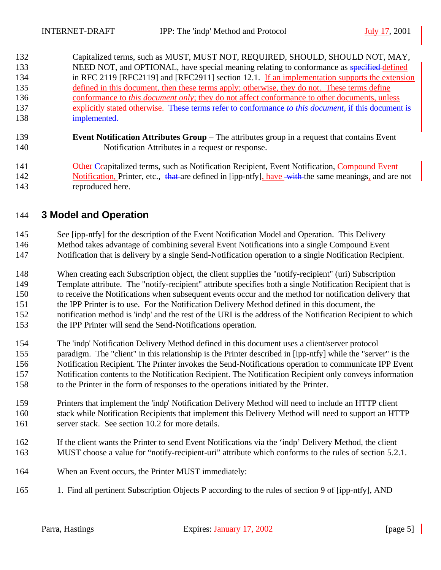Capitalized terms, such as MUST, MUST NOT, REQUIRED, SHOULD, SHOULD NOT, MAY, 133 NEED NOT, and OPTIONAL, have special meaning relating to conformance as specified-defined in RFC 2119 [RFC2119] and [RFC2911] section 12.1. If an implementation supports the extension defined in this document, then these terms apply; otherwise, they do not. These terms define conformance to *this document only*; they do not affect conformance to other documents, unless explicitly stated otherwise. These terms refer to conformance *to this document*, if this document is **implemented.** 

 **Event Notification Attributes Group** – The attributes group in a request that contains Event Notification Attributes in a request or response.

**Other Consentitively** terms, such as Notification Recipient, Event Notification, Compound Event 142 Notification, Printer, etc., that are defined in [ipp-ntfy], have with the same meanings, and are not reproduced here.

# **3 Model and Operation**

See [ipp-ntfy] for the description of the Event Notification Model and Operation. This Delivery

- Method takes advantage of combining several Event Notifications into a single Compound Event
- Notification that is delivery by a single Send-Notification operation to a single Notification Recipient.
- When creating each Subscription object, the client supplies the "notify-recipient" (uri) Subscription
- Template attribute. The "notify-recipient" attribute specifies both a single Notification Recipient that is
- to receive the Notifications when subsequent events occur and the method for notification delivery that
- the IPP Printer is to use. For the Notification Delivery Method defined in this document, the notification method is 'indp' and the rest of the URI is the address of the Notification Recipient to which
- the IPP Printer will send the Send-Notifications operation.
- The 'indp' Notification Delivery Method defined in this document uses a client/server protocol paradigm. The "client" in this relationship is the Printer described in [ipp-ntfy] while the "server" is the Notification Recipient. The Printer invokes the Send-Notifications operation to communicate IPP Event Notification contents to the Notification Recipient. The Notification Recipient only conveys information to the Printer in the form of responses to the operations initiated by the Printer.
- Printers that implement the 'indp' Notification Delivery Method will need to include an HTTP client stack while Notification Recipients that implement this Delivery Method will need to support an HTTP server stack. See section 10.2 for more details.
- If the client wants the Printer to send Event Notifications via the 'indp' Delivery Method, the client MUST choose a value for "notify-recipient-uri" attribute which conforms to the rules of section 5.2.1.
- When an Event occurs, the Printer MUST immediately:
- 1. Find all pertinent Subscription Objects P according to the rules of section 9 of [ipp-ntfy], AND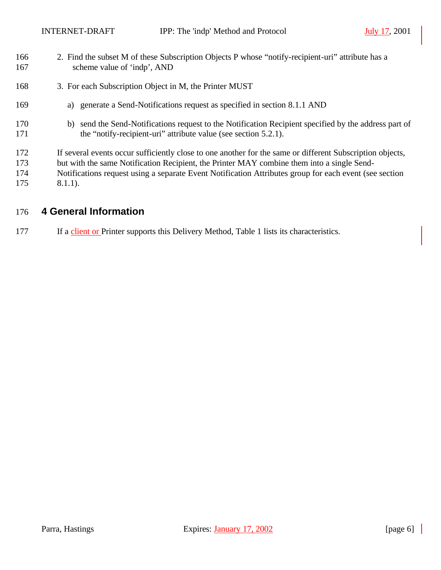- 2. Find the subset M of these Subscription Objects P whose "notify-recipient-uri" attribute has a scheme value of 'indp', AND
- 168 3. For each Subscription Object in M, the Printer MUST
- a) generate a Send-Notifications request as specified in section 8.1.1 AND
- b) send the Send-Notifications request to the Notification Recipient specified by the address part of 171 the "notify-recipient-uri" attribute value (see section 5.2.1).
- If several events occur sufficiently close to one another for the same or different Subscription objects,
- but with the same Notification Recipient, the Printer MAY combine them into a single Send-
- Notifications request using a separate Event Notification Attributes group for each event (see section 8.1.1).

# **4 General Information**

177 If a client or Printer supports this Delivery Method, Table 1 lists its characteristics.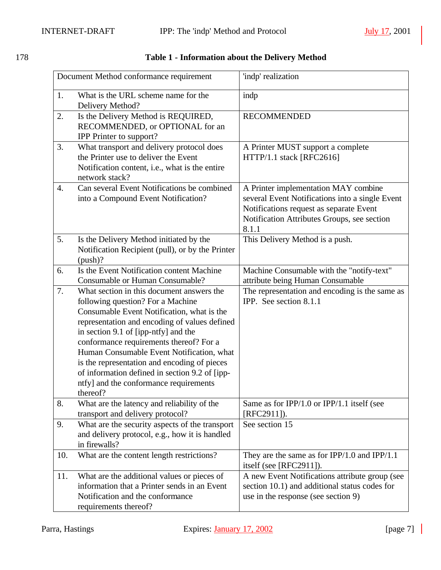| 78 |  |  |
|----|--|--|
|    |  |  |

# 178 **Table 1 - Information about the Delivery Method**

|     | Document Method conformance requirement                                                                                                                                                                                                                                                                                                                                                                                                                               | 'indp' realization                                                                                                                                                                         |
|-----|-----------------------------------------------------------------------------------------------------------------------------------------------------------------------------------------------------------------------------------------------------------------------------------------------------------------------------------------------------------------------------------------------------------------------------------------------------------------------|--------------------------------------------------------------------------------------------------------------------------------------------------------------------------------------------|
| 1.  | What is the URL scheme name for the<br>Delivery Method?                                                                                                                                                                                                                                                                                                                                                                                                               | indp                                                                                                                                                                                       |
| 2.  | Is the Delivery Method is REQUIRED,<br>RECOMMENDED, or OPTIONAL for an<br><b>IPP</b> Printer to support?                                                                                                                                                                                                                                                                                                                                                              | <b>RECOMMENDED</b>                                                                                                                                                                         |
| 3.  | What transport and delivery protocol does<br>the Printer use to deliver the Event<br>Notification content, i.e., what is the entire<br>network stack?                                                                                                                                                                                                                                                                                                                 | A Printer MUST support a complete<br>HTTP/1.1 stack [RFC2616]                                                                                                                              |
| 4.  | Can several Event Notifications be combined<br>into a Compound Event Notification?                                                                                                                                                                                                                                                                                                                                                                                    | A Printer implementation MAY combine<br>several Event Notifications into a single Event<br>Notifications request as separate Event<br>Notification Attributes Groups, see section<br>8.1.1 |
| 5.  | Is the Delivery Method initiated by the<br>Notification Recipient (pull), or by the Printer<br>(push)?                                                                                                                                                                                                                                                                                                                                                                | This Delivery Method is a push.                                                                                                                                                            |
| 6.  | Is the Event Notification content Machine                                                                                                                                                                                                                                                                                                                                                                                                                             | Machine Consumable with the "notify-text"                                                                                                                                                  |
|     | Consumable or Human Consumable?                                                                                                                                                                                                                                                                                                                                                                                                                                       | attribute being Human Consumable                                                                                                                                                           |
| 7.  | What section in this document answers the<br>following question? For a Machine<br>Consumable Event Notification, what is the<br>representation and encoding of values defined<br>in section 9.1 of [ipp-ntfy] and the<br>conformance requirements thereof? For a<br>Human Consumable Event Notification, what<br>is the representation and encoding of pieces<br>of information defined in section 9.2 of [ipp-<br>ntfy] and the conformance requirements<br>thereof? | The representation and encoding is the same as<br>IPP. See section 8.1.1                                                                                                                   |
| 8.  | What are the latency and reliability of the<br>transport and delivery protocol?                                                                                                                                                                                                                                                                                                                                                                                       | Same as for IPP/1.0 or IPP/1.1 itself (see<br>$[RFC2911]$ .                                                                                                                                |
| 9.  | What are the security aspects of the transport<br>and delivery protocol, e.g., how it is handled<br>in firewalls?                                                                                                                                                                                                                                                                                                                                                     | See section 15                                                                                                                                                                             |
| 10. | What are the content length restrictions?                                                                                                                                                                                                                                                                                                                                                                                                                             | They are the same as for $IPP/1.0$ and $IPP/1.1$<br>itself (see [RFC2911]).                                                                                                                |
| 11. | What are the additional values or pieces of<br>information that a Printer sends in an Event<br>Notification and the conformance<br>requirements thereof?                                                                                                                                                                                                                                                                                                              | A new Event Notifications attribute group (see<br>section 10.1) and additional status codes for<br>use in the response (see section 9)                                                     |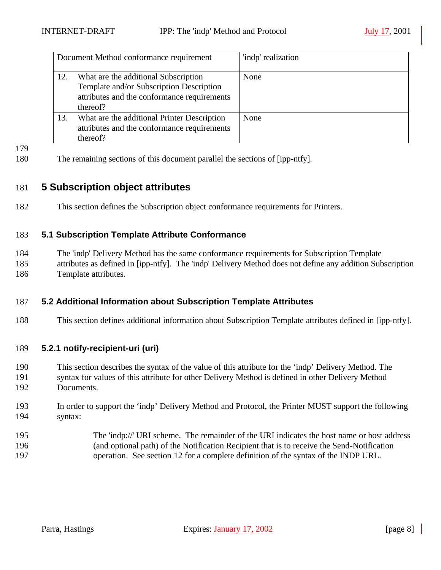|     | Document Method conformance requirement                                                                                                     | 'indp' realization |
|-----|---------------------------------------------------------------------------------------------------------------------------------------------|--------------------|
| 12. | What are the additional Subscription<br>Template and/or Subscription Description<br>attributes and the conformance requirements<br>thereof? | None               |
| 13. | What are the additional Printer Description<br>attributes and the conformance requirements<br>thereof?                                      | None               |

- 
- The remaining sections of this document parallel the sections of [ipp-ntfy].

# **5 Subscription object attributes**

This section defines the Subscription object conformance requirements for Printers.

# **5.1 Subscription Template Attribute Conformance**

 The 'indp' Delivery Method has the same conformance requirements for Subscription Template attributes as defined in [ipp-ntfy]. The 'indp' Delivery Method does not define any addition Subscription Template attributes.

# **5.2 Additional Information about Subscription Template Attributes**

This section defines additional information about Subscription Template attributes defined in [ipp-ntfy].

# **5.2.1 notify-recipient-uri (uri)**

- This section describes the syntax of the value of this attribute for the 'indp' Delivery Method. The
- syntax for values of this attribute for other Delivery Method is defined in other Delivery Method Documents.
- In order to support the 'indp' Delivery Method and Protocol, the Printer MUST support the following syntax:
- The 'indp://' URI scheme. The remainder of the URI indicates the host name or host address (and optional path) of the Notification Recipient that is to receive the Send-Notification operation. See section 12 for a complete definition of the syntax of the INDP URL.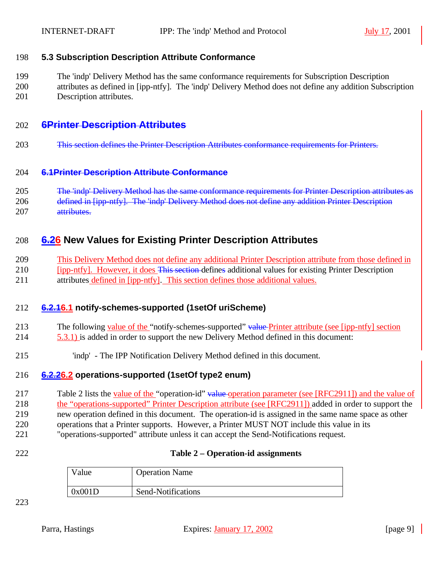# **5.3 Subscription Description Attribute Conformance**

 The 'indp' Delivery Method has the same conformance requirements for Subscription Description attributes as defined in [ipp-ntfy]. The 'indp' Delivery Method does not define any addition Subscription Description attributes.

# **6Printer Description Attributes**

203 This section defines the Printer Description Attributes conformance requirements for Printers.

## **6.1Printer Description Attribute Conformance**

 The 'indp' Delivery Method has the same conformance requirements for Printer Description attributes as 206 defined in [ipp-ntfy]. The 'indp' Delivery Method does not define any addition Printer Description

207 attributes

# **6.26 New Values for Existing Printer Description Attributes**

- This Delivery Method does not define any additional Printer Description attribute from those defined in
- 210 [ipp-ntfy]. However, it does This section defines additional values for existing Printer Description attributes defined in [ipp-ntfy]. This section defines those additional values.

# **6.2.16.1 notify-schemes-supported (1setOf uriScheme)**

- 213 The following value of the "notify-schemes-supported" value Printer attribute (see [ipp-ntfy] section
- 5.3.1) is added in order to support the new Delivery Method defined in this document:
- 'indp' The IPP Notification Delivery Method defined in this document.

# **6.2.26.2 operations-supported (1setOf type2 enum)**

217 Table 2 lists the <u>value of the</u> "operation-id" value operation parameter (see [RFC2911]) and the value of the "operations-supported" Printer Description attribute (see [RFC2911]) added in order to support the new operation defined in this document. The operation-id is assigned in the same name space as other operations that a Printer supports. However, a Printer MUST NOT include this value in its "operations-supported" attribute unless it can accept the Send-Notifications request.

### **Table 2 – Operation-id assignments**

| Value  | <b>Operation Name</b> |
|--------|-----------------------|
| 0x001D | Send-Notifications    |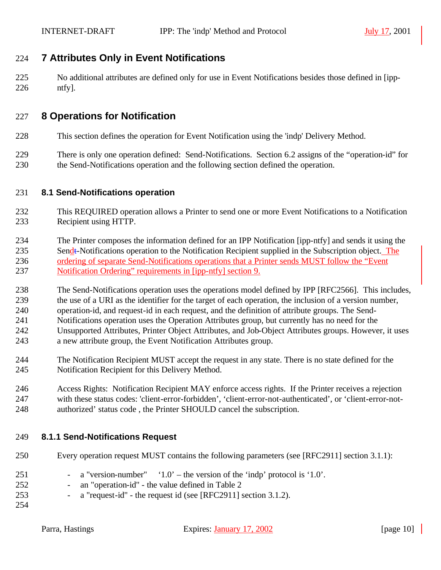# **7 Attributes Only in Event Notifications**

 No additional attributes are defined only for use in Event Notifications besides those defined in [ipp-ntfy].

# **8 Operations for Notification**

- This section defines the operation for Event Notification using the 'indp' Delivery Method.
- There is only one operation defined: Send-Notifications. Section 6.2 assigns of the "operation-id" for the Send-Notifications operation and the following section defined the operation.

# **8.1 Send-Notifications operation**

- This REQUIRED operation allows a Printer to send one or more Event Notifications to a Notification Recipient using HTTP.
- The Printer composes the information defined for an IPP Notification [ipp-ntfy] and sends it using the 235 Sendt-Notifications operation to the Notification Recipient supplied in the Subscription object. The ordering of separate Send-Notifications operations that a Printer sends MUST follow the "Event Notification Ordering" requirements in [ipp-ntfy] section 9.
- The Send-Notifications operation uses the operations model defined by IPP [RFC2566]. This includes, the use of a URI as the identifier for the target of each operation, the inclusion of a version number, operation-id, and request-id in each request, and the definition of attribute groups. The Send- Notifications operation uses the Operation Attributes group, but currently has no need for the Unsupported Attributes, Printer Object Attributes, and Job-Object Attributes groups. However, it uses
- a new attribute group, the Event Notification Attributes group.
- The Notification Recipient MUST accept the request in any state. There is no state defined for the Notification Recipient for this Delivery Method.
- Access Rights: Notification Recipient MAY enforce access rights. If the Printer receives a rejection with these status codes: 'client-error-forbidden', 'client-error-not-authenticated', or 'client-error-not-authorized' status code , the Printer SHOULD cancel the subscription.

# **8.1.1 Send-Notifications Request**

- Every operation request MUST contains the following parameters (see [RFC2911] section 3.1.1):
- a "version-number" '1.0' the version of the 'indp' protocol is '1.0'. - an "operation-id" - the value defined in Table 2 - a "request-id" - the request id (see [RFC2911] section 3.1.2).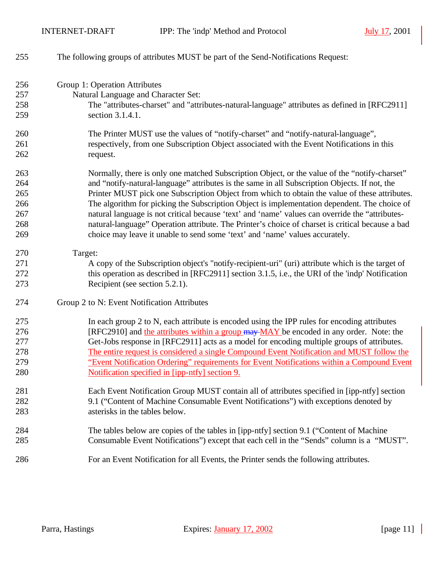| 255 | The following groups of attributes MUST be part of the Send-Notifications Request:                |
|-----|---------------------------------------------------------------------------------------------------|
| 256 | Group 1: Operation Attributes                                                                     |
| 257 | Natural Language and Character Set:                                                               |
| 258 | The "attributes-charset" and "attributes-natural-language" attributes as defined in [RFC2911]     |
| 259 | section 3.1.4.1.                                                                                  |
| 260 | The Printer MUST use the values of "notify-charset" and "notify-natural-language",                |
| 261 | respectively, from one Subscription Object associated with the Event Notifications in this        |
| 262 | request.                                                                                          |
| 263 | Normally, there is only one matched Subscription Object, or the value of the "notify-charset"     |
| 264 | and "notify-natural-language" attributes is the same in all Subscription Objects. If not, the     |
| 265 | Printer MUST pick one Subscription Object from which to obtain the value of these attributes.     |
| 266 | The algorithm for picking the Subscription Object is implementation dependent. The choice of      |
| 267 | natural language is not critical because 'text' and 'name' values can override the "attributes-   |
| 268 | natural-language" Operation attribute. The Printer's choice of charset is critical because a bad  |
| 269 | choice may leave it unable to send some 'text' and 'name' values accurately.                      |
| 270 | Target:                                                                                           |
| 271 | A copy of the Subscription object's "notify-recipient-uri" (uri) attribute which is the target of |
| 272 | this operation as described in [RFC2911] section 3.1.5, i.e., the URI of the 'indp' Notification  |
| 273 | Recipient (see section 5.2.1).                                                                    |
| 274 | Group 2 to N: Event Notification Attributes                                                       |
| 275 | In each group 2 to N, each attribute is encoded using the IPP rules for encoding attributes       |
| 276 | [RFC2910] and the attributes within a group may MAY be encoded in any order. Note: the            |
| 277 | Get-Jobs response in [RFC2911] acts as a model for encoding multiple groups of attributes.        |
| 278 | The entire request is considered a single Compound Event Notification and MUST follow the         |
| 279 | "Event Notification Ordering" requirements for Event Notifications within a Compound Event        |
| 280 | Notification specified in [ipp-ntfy] section 9.                                                   |
| 281 | Each Event Notification Group MUST contain all of attributes specified in [ipp-ntfy] section      |
| 282 | 9.1 ("Content of Machine Consumable Event Notifications") with exceptions denoted by              |
| 283 | asterisks in the tables below.                                                                    |
| 284 | The tables below are copies of the tables in [ipp-ntfy] section 9.1 ("Content of Machine"         |
| 285 | Consumable Event Notifications") except that each cell in the "Sends" column is a "MUST".         |
| 286 | For an Event Notification for all Events, the Printer sends the following attributes.             |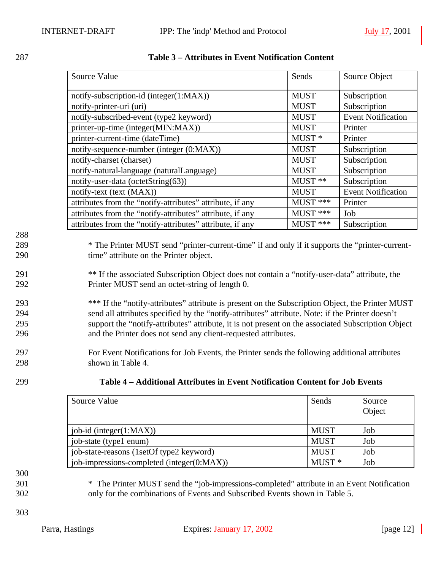|                   | <b>Source Value</b>                                                                                                                             | Sends             | Source Object             |
|-------------------|-------------------------------------------------------------------------------------------------------------------------------------------------|-------------------|---------------------------|
|                   | notify-subscription-id (integer(1:MAX))                                                                                                         | <b>MUST</b>       | Subscription              |
|                   | notify-printer-uri (uri)                                                                                                                        | <b>MUST</b>       | Subscription              |
|                   | notify-subscribed-event (type2 keyword)                                                                                                         | <b>MUST</b>       | <b>Event Notification</b> |
|                   | printer-up-time (integer(MIN:MAX))                                                                                                              | <b>MUST</b>       | Printer                   |
|                   | printer-current-time (dateTime)                                                                                                                 | MUST <sup>*</sup> | Printer                   |
|                   | notify-sequence-number (integer (0:MAX))                                                                                                        | <b>MUST</b>       | Subscription              |
|                   | notify-charset (charset)                                                                                                                        | <b>MUST</b>       | Subscription              |
|                   | notify-natural-language (naturalLanguage)                                                                                                       | <b>MUST</b>       | Subscription              |
|                   | notify-user-data (octetString(63))                                                                                                              | MUST **           | Subscription              |
|                   | notify-text (text (MAX))                                                                                                                        | <b>MUST</b>       | <b>Event Notification</b> |
|                   | attributes from the "notify-attributes" attribute, if any                                                                                       | MUST ***          | Printer                   |
|                   | attributes from the "notify-attributes" attribute, if any                                                                                       | MUST ***          | Job                       |
|                   | attributes from the "notify-attributes" attribute, if any                                                                                       | MUST ***          | Subscription              |
| 288<br>289<br>290 | * The Printer MUST send "printer-current-time" if and only if it supports the "printer-current-<br>time" attribute on the Printer object.       |                   |                           |
| 291<br>292        | ** If the associated Subscription Object does not contain a "notify-user-data" attribute, the<br>Printer MUST send an octet-string of length 0. |                   |                           |
| 293               | *** If the "notify-attributes" attribute is present on the Subscription Object, the Printer MUST                                                |                   |                           |
| 294               | send all attributes specified by the "notify-attributes" attribute. Note: if the Printer doesn't                                                |                   |                           |
| 295               | support the "notify-attributes" attribute, it is not present on the associated Subscription Object                                              |                   |                           |
| 296               | and the Printer does not send any client-requested attributes.                                                                                  |                   |                           |
| 297               | For Event Notifications for Job Events, the Printer sends the following additional attributes                                                   |                   |                           |
| 298               | shown in Table 4.                                                                                                                               |                   |                           |
| 299               | Table 4 - Additional Attributes in Event Notification Content for Job Events                                                                    |                   |                           |

# 287 **Table 3 – Attributes in Event Notification Content**

| Source Value                               | Sends       | Source<br>Object |
|--------------------------------------------|-------------|------------------|
| job-id (integer $(1:MAX)$ )                | <b>MUST</b> | Job              |
| job-state (type1 enum)                     | <b>MUST</b> | Job              |
| job-state-reasons (1setOf type2 keyword)   | <b>MUST</b> | Job              |
| job-impressions-completed (integer(0:MAX)) | $MUST*$     | Job              |

300

301 \* The Printer MUST send the "job-impressions-completed" attribute in an Event Notification 302 only for the combinations of Events and Subscribed Events shown in Table 5.

303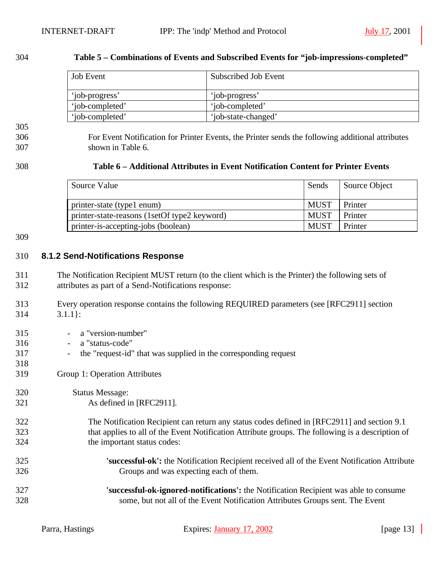#### **Table 5 – Combinations of Events and Subscribed Events for "job-impressions-completed"**

| <b>Job</b> Event | Subscribed Job Event |
|------------------|----------------------|
| 'iob-progress'   | 'job-progress'       |
| 'iob-completed'  | 'iob-completed'      |
| 'iob-completed'  | 'job-state-changed'  |

# 

 For Event Notification for Printer Events, the Printer sends the following additional attributes shown in Table 6.

| 308 | Table 6 – Additional Attributes in Event Notification Content for Printer Events |
|-----|----------------------------------------------------------------------------------|
|     |                                                                                  |

| Source Value                                 | Sends       | Source Object |
|----------------------------------------------|-------------|---------------|
| printer-state (type1 enum)                   | <b>MUST</b> | Printer       |
| printer-state-reasons (1setOf type2 keyword) | <b>MUST</b> | Printer       |
| printer-is-accepting-jobs (boolean)          | <b>MUST</b> | Printer       |

#### 

## **8.1.2 Send-Notifications Response**

- The Notification Recipient MUST return (to the client which is the Printer) the following sets of attributes as part of a Send-Notifications response:
- Every operation response contains the following REQUIRED parameters (see [RFC2911] section 3.1.1}:
- a "version-number" - a "status-code" - the "request-id" that was supplied in the corresponding request Group 1: Operation Attributes Status Message: As defined in [RFC2911]. The Notification Recipient can return any status codes defined in [RFC2911] and section 9.1 that applies to all of the Event Notification Attribute groups. The following is a description of the important status codes: **'successful-ok':** the Notification Recipient received all of the Event Notification Attribute Groups and was expecting each of them. **'successful-ok-ignored-notifications':** the Notification Recipient was able to consume some, but not all of the Event Notification Attributes Groups sent. The Event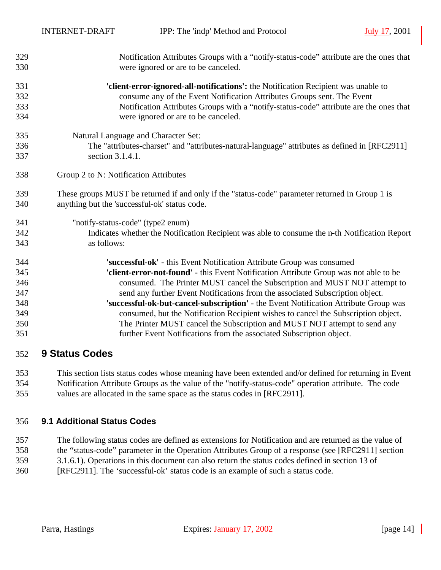| 329 | Notification Attributes Groups with a "notify-status-code" attribute are the ones that          |
|-----|-------------------------------------------------------------------------------------------------|
| 330 | were ignored or are to be canceled.                                                             |
| 331 | 'client-error-ignored-all-notifications': the Notification Recipient was unable to              |
| 332 | consume any of the Event Notification Attributes Groups sent. The Event                         |
| 333 | Notification Attributes Groups with a "notify-status-code" attribute are the ones that          |
| 334 | were ignored or are to be canceled.                                                             |
| 335 | Natural Language and Character Set:                                                             |
| 336 | The "attributes-charset" and "attributes-natural-language" attributes as defined in [RFC2911]   |
| 337 | section 3.1.4.1.                                                                                |
| 338 | Group 2 to N: Notification Attributes                                                           |
| 339 | These groups MUST be returned if and only if the "status-code" parameter returned in Group 1 is |
| 340 | anything but the 'successful-ok' status code.                                                   |
| 341 | "notify-status-code" (type2 enum)                                                               |
| 342 | Indicates whether the Notification Recipient was able to consume the n-th Notification Report   |
| 343 | as follows:                                                                                     |
| 344 | 'successful-ok' - this Event Notification Attribute Group was consumed                          |
| 345 | 'client-error-not-found' - this Event Notification Attribute Group was not able to be           |
| 346 | consumed. The Printer MUST cancel the Subscription and MUST NOT attempt to                      |
| 347 | send any further Event Notifications from the associated Subscription object.                   |
| 348 | 'successful-ok-but-cancel-subscription' - the Event Notification Attribute Group was            |
| 349 | consumed, but the Notification Recipient wishes to cancel the Subscription object.              |
| 350 | The Printer MUST cancel the Subscription and MUST NOT attempt to send any                       |
| 351 | further Event Notifications from the associated Subscription object.                            |
|     |                                                                                                 |

# **9 Status Codes**

 This section lists status codes whose meaning have been extended and/or defined for returning in Event Notification Attribute Groups as the value of the "notify-status-code" operation attribute. The code values are allocated in the same space as the status codes in [RFC2911].

# **9.1 Additional Status Codes**

 The following status codes are defined as extensions for Notification and are returned as the value of the "status-code" parameter in the Operation Attributes Group of a response (see [RFC2911] section 3.1.6.1). Operations in this document can also return the status codes defined in section 13 of [RFC2911]. The 'successful-ok' status code is an example of such a status code.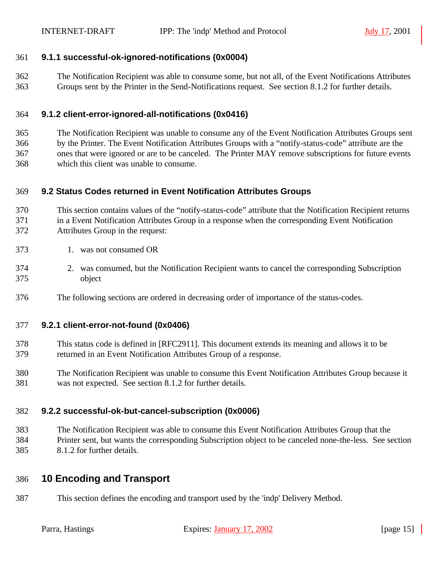## **9.1.1 successful-ok-ignored-notifications (0x0004)**

 The Notification Recipient was able to consume some, but not all, of the Event Notifications Attributes Groups sent by the Printer in the Send-Notifications request. See section 8.1.2 for further details.

### **9.1.2 client-error-ignored-all-notifications (0x0416)**

 The Notification Recipient was unable to consume any of the Event Notification Attributes Groups sent by the Printer. The Event Notification Attributes Groups with a "notify-status-code" attribute are the ones that were ignored or are to be canceled. The Printer MAY remove subscriptions for future events which this client was unable to consume.

### **9.2 Status Codes returned in Event Notification Attributes Groups**

 This section contains values of the "notify-status-code" attribute that the Notification Recipient returns in a Event Notification Attributes Group in a response when the corresponding Event Notification Attributes Group in the request:

- 1. was not consumed OR
- 2. was consumed, but the Notification Recipient wants to cancel the corresponding Subscription object
- The following sections are ordered in decreasing order of importance of the status-codes.

#### **9.2.1 client-error-not-found (0x0406)**

- This status code is defined in [RFC2911]. This document extends its meaning and allows it to be returned in an Event Notification Attributes Group of a response.
- The Notification Recipient was unable to consume this Event Notification Attributes Group because it was not expected. See section 8.1.2 for further details.

### **9.2.2 successful-ok-but-cancel-subscription (0x0006)**

 The Notification Recipient was able to consume this Event Notification Attributes Group that the Printer sent, but wants the corresponding Subscription object to be canceled none-the-less. See section 8.1.2 for further details.

# **10 Encoding and Transport**

This section defines the encoding and transport used by the 'indp' Delivery Method.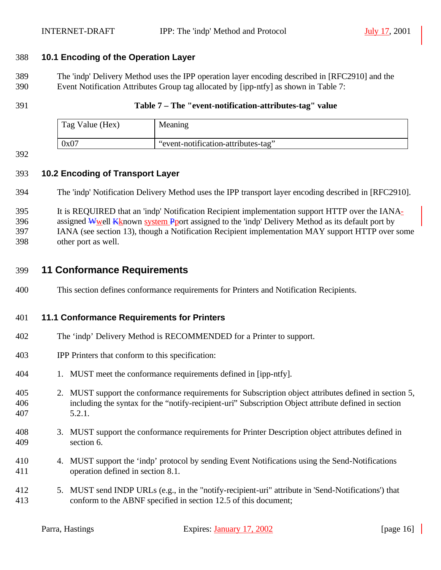# **10.1 Encoding of the Operation Layer**

 The 'indp' Delivery Method uses the IPP operation layer encoding described in [RFC2910] and the Event Notification Attributes Group tag allocated by [ipp-ntfy] as shown in Table 7:

### **Table 7 – The "event-notification-attributes-tag" value**

| Tag Value (Hex) | Meaning                             |
|-----------------|-------------------------------------|
| 0x07            | "event-notification-attributes-tag" |

# **10.2 Encoding of Transport Layer**

The 'indp' Notification Delivery Method uses the IPP transport layer encoding described in [RFC2910].

It is REQUIRED that an 'indp' Notification Recipient implementation support HTTP over the IANA-

396 assigned Wwell Kknown system Pport assigned to the 'indp' Delivery Method as its default port by

IANA (see section 13), though a Notification Recipient implementation MAY support HTTP over some

other port as well.

# **11 Conformance Requirements**

This section defines conformance requirements for Printers and Notification Recipients.

# **11.1 Conformance Requirements for Printers**

- The 'indp' Delivery Method is RECOMMENDED for a Printer to support.
- IPP Printers that conform to this specification:
- 1. MUST meet the conformance requirements defined in [ipp-ntfy].
- 2. MUST support the conformance requirements for Subscription object attributes defined in section 5, including the syntax for the "notify-recipient-uri" Subscription Object attribute defined in section 5.2.1.
- 3. MUST support the conformance requirements for Printer Description object attributes defined in section 6.
- 4. MUST support the 'indp' protocol by sending Event Notifications using the Send-Notifications operation defined in section 8.1.
- 5. MUST send INDP URLs (e.g., in the "notify-recipient-uri" attribute in 'Send-Notifications') that conform to the ABNF specified in section 12.5 of this document;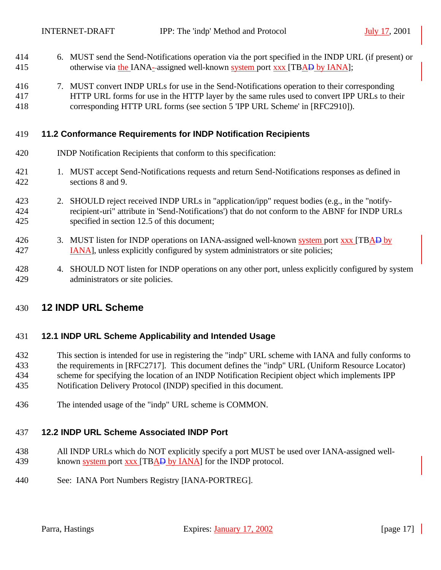- 6. MUST send the Send-Notifications operation via the port specified in the INDP URL (if present) or 415 otherwise via the IANA--assigned well-known system port xxx [TBAD by IANA];
- 7. MUST convert INDP URLs for use in the Send-Notifications operation to their corresponding HTTP URL forms for use in the HTTP layer by the same rules used to convert IPP URLs to their corresponding HTTP URL forms (see section 5 'IPP URL Scheme' in [RFC2910]).

## **11.2 Conformance Requirements for INDP Notification Recipients**

- INDP Notification Recipients that conform to this specification:
- 1. MUST accept Send-Notifications requests and return Send-Notifications responses as defined in sections 8 and 9.
- 2. SHOULD reject received INDP URLs in "application/ipp" request bodies (e.g., in the "notify- recipient-uri" attribute in 'Send-Notifications') that do not conform to the ABNF for INDP URLs specified in section 12.5 of this document;
- 426 3. MUST listen for INDP operations on IANA-assigned well-known system port xxx [TBAD by IANA], unless explicitly configured by system administrators or site policies;
- 428 4. SHOULD NOT listen for INDP operations on any other port, unless explicitly configured by system administrators or site policies.

# **12 INDP URL Scheme**

### **12.1 INDP URL Scheme Applicability and Intended Usage**

- This section is intended for use in registering the "indp" URL scheme with IANA and fully conforms to the requirements in [RFC2717]. This document defines the "indp" URL (Uniform Resource Locator) scheme for specifying the location of an INDP Notification Recipient object which implements IPP Notification Delivery Protocol (INDP) specified in this document.
- The intended usage of the "indp" URL scheme is COMMON.

# **12.2 INDP URL Scheme Associated INDP Port**

- All INDP URLs which do NOT explicitly specify a port MUST be used over IANA-assigned well-439 known system port xxx [TBAD by IANA] for the INDP protocol.
- See: IANA Port Numbers Registry [IANA-PORTREG].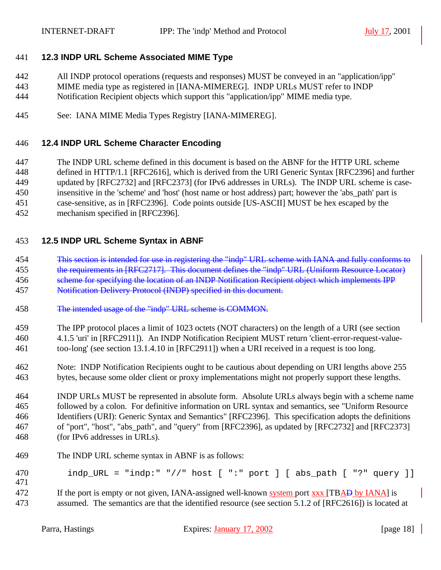# **12.3 INDP URL Scheme Associated MIME Type**

- All INDP protocol operations (requests and responses) MUST be conveyed in an "application/ipp"
- MIME media type as registered in [IANA-MIMEREG]. INDP URLs MUST refer to INDP
- Notification Recipient objects which support this "application/ipp" MIME media type.
- See: IANA MIME Media Types Registry [IANA-MIMEREG].

## **12.4 INDP URL Scheme Character Encoding**

- The INDP URL scheme defined in this document is based on the ABNF for the HTTP URL scheme
- defined in HTTP/1.1 [RFC2616], which is derived from the URI Generic Syntax [RFC2396] and further updated by [RFC2732] and [RFC2373] (for IPv6 addresses in URLs). The INDP URL scheme is case-
- insensitive in the 'scheme' and 'host' (host name or host address) part; however the 'abs\_path' part is
- case-sensitive, as in [RFC2396]. Code points outside [US-ASCII] MUST be hex escaped by the
- mechanism specified in [RFC2396].

# **12.5 INDP URL Scheme Syntax in ABNF**

- This section is intended for use in registering the "indp" URL scheme with IANA and fully conforms to 455 the requirements in [RFC2717]. This document defines the "indp" URL (Uniform Resource Locator)
- 456 scheme for specifying the location of an INDP Notification Recipient object which implements IPP
- Notification Delivery Protocol (INDP) specified in this document.
- The intended usage of the "indp" URL scheme is COMMON.
- The IPP protocol places a limit of 1023 octets (NOT characters) on the length of a URI (see section 4.1.5 'uri' in [RFC2911]). An INDP Notification Recipient MUST return 'client-error-request-value-too-long' (see section 13.1.4.10 in [RFC2911]) when a URI received in a request is too long.
- Note: INDP Notification Recipients ought to be cautious about depending on URI lengths above 255 bytes, because some older client or proxy implementations might not properly support these lengths.

 INDP URLs MUST be represented in absolute form. Absolute URLs always begin with a scheme name followed by a colon. For definitive information on URL syntax and semantics, see "Uniform Resource Identifiers (URI): Generic Syntax and Semantics" [RFC2396]. This specification adopts the definitions of "port", "host", "abs\_path", and "query" from [RFC2396], as updated by [RFC2732] and [RFC2373] (for IPv6 addresses in URLs).

- The INDP URL scheme syntax in ABNF is as follows:
- 470 indp URL = "indp:" "//" host [ ":" port ] [ abs path [ "?" query ]]
- 472 If the port is empty or not given, IANA-assigned well-known system port xxx [TBAD by IANA] is assumed. The semantics are that the identified resource (see section 5.1.2 of [RFC2616]) is located at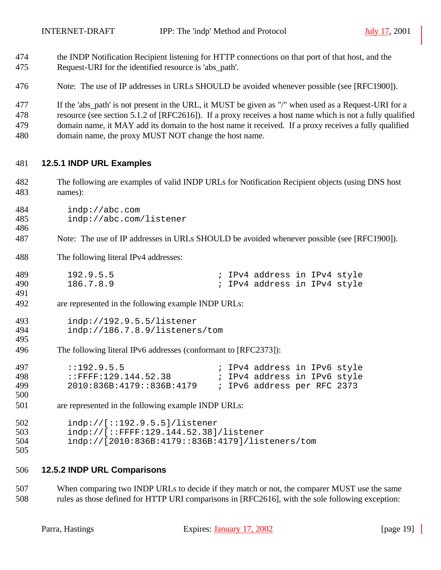- the INDP Notification Recipient listening for HTTP connections on that port of that host, and the Request-URI for the identified resource is 'abs\_path'.
- Note: The use of IP addresses in URLs SHOULD be avoided whenever possible (see [RFC1900]).

 If the 'abs\_path' is not present in the URL, it MUST be given as "/" when used as a Request-URI for a resource (see section 5.1.2 of [RFC2616]). If a proxy receives a host name which is not a fully qualified domain name, it MAY add its domain to the host name it received. If a proxy receives a fully qualified domain name, the proxy MUST NOT change the host name.

## **12.5.1 INDP URL Examples**

- The following are examples of valid INDP URLs for Notification Recipient objects (using DNS host names):
- indp://abc.com indp://abc.com/listener
- Note: The use of IP addresses in URLs SHOULD be avoided whenever possible (see [RFC1900]).
- The following literal IPv4 addresses:

| 489 | 192.9.5.5 |  | ; IPv4 address in IPv4 style |  |  |
|-----|-----------|--|------------------------------|--|--|
| 490 | 186.7.8.9 |  | ; IPv4 address in IPv4 style |  |  |

are represented in the following example INDP URLs:

```
493 indp://192.9.5.5/listener<br>494 indp://186.7.8.9/listener
              indp://186.7.8.9/listeners/tom
495
```
The following literal IPv6 addresses (conformant to [RFC2373]):

| 497 | : 192.9.5.5               |  | ; IPv4 address in IPv6 style |  |  |
|-----|---------------------------|--|------------------------------|--|--|
| 498 | $:$ FFFF:129.144.52.38    |  | ; IPv4 address in IPv6 style |  |  |
| 499 | 2010:836B:4179::836B:4179 |  | ; IPv6 address per RFC 2373  |  |  |

are represented in the following example INDP URLs:

502 indp://[::192.9.5.5]/listener<br>503 indp://[::FFFF:129.144.52.38] indp://[::FFFF:129.144.52.38]/listener indp://[2010:836B:4179::836B:4179]/listeners/tom 

### **12.5.2 INDP URL Comparisons**

 When comparing two INDP URLs to decide if they match or not, the comparer MUST use the same rules as those defined for HTTP URI comparisons in [RFC2616], with the sole following exception: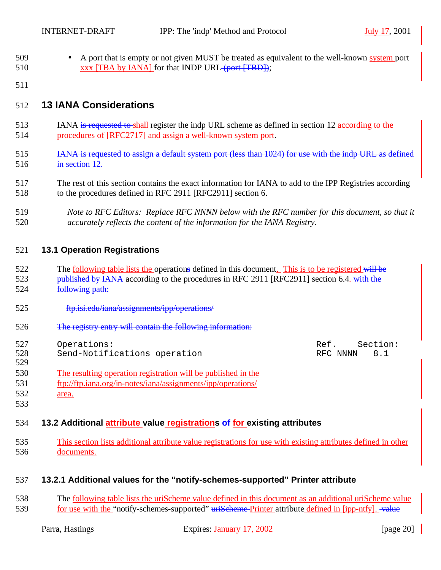- 509 A port that is empty or not given MUST be treated as equivalent to the well-known system port 510 xxx [TBA by IANA] for that INDP URL (port [TBD]);
- 

# **13 IANA Considerations**

- IANA is requested to shall register the indp URL scheme as defined in section 12 according to the procedures of [RFC2717] and assign a well-known system port.
- 515 IANA is requested to assign a default system port (less than 1024) for use with the indp URL as defined in section 12.
- The rest of this section contains the exact information for IANA to add to the IPP Registries according to the procedures defined in RFC 2911 [RFC2911] section 6.
- *Note to RFC Editors: Replace RFC NNNN below with the RFC number for this document, so that it accurately reflects the content of the information for the IANA Registry.*

# **13.1 Operation Registrations**

- 522 The following table lists the operations defined in this document. This is to be registered will be 523 published by IANA according to the procedures in RFC 2911 [RFC2911] section 6.4. with the following path:
- 525 ftp.isi.edu/iana/assignments/ipp/operations/
- The registry entry will contain the following information:
- 527 Operations: and the section of the section: Ref. Section:

528 Send-Notifications operation RFC NNNN 8.1

- The resulting operation registration will be published in the ftp://ftp.iana.org/in-notes/iana/assignments/ipp/operations/
- area.
- 

# **13.2 Additional attribute value registrations of for existing attributes**

 This section lists additional attribute value registrations for use with existing attributes defined in other documents.

# **13.2.1 Additional values for the "notify-schemes-supported" Printer attribute**

538 The <u>following table lists the uriScheme value defined in this document as an additional uriScheme value</u> 539 for use with the "notify-schemes-supported" uriScheme Printer attribute defined in [ipp-ntfy]. value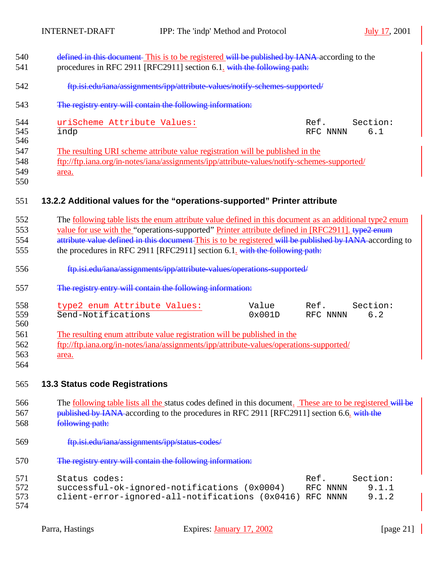| 540<br>541               | defined in this document. This is to be registered will be published by IANA-according to the<br>procedures in RFC 2911 [RFC2911] section 6.1. with the following path:                                                                                                                                                                                                                                      |
|--------------------------|--------------------------------------------------------------------------------------------------------------------------------------------------------------------------------------------------------------------------------------------------------------------------------------------------------------------------------------------------------------------------------------------------------------|
| 542                      | ftp.isi.edu/iana/assignments/ipp/attribute-values/notify-schemes-supported/                                                                                                                                                                                                                                                                                                                                  |
| 543                      | The registry entry will contain the following information:                                                                                                                                                                                                                                                                                                                                                   |
| 544<br>545<br>546        | uriScheme Attribute Values:<br>Section:<br>Ref.<br>6.1<br>indp<br>RFC NNNN                                                                                                                                                                                                                                                                                                                                   |
| 547<br>548<br>549<br>550 | The resulting URI scheme attribute value registration will be published in the<br>ftp://ftp.iana.org/in-notes/iana/assignments/ipp/attribute-values/notify-schemes-supported/<br>area.                                                                                                                                                                                                                       |
| 551                      | 13.2.2 Additional values for the "operations-supported" Printer attribute                                                                                                                                                                                                                                                                                                                                    |
| 552<br>553<br>554<br>555 | The <u>following table</u> lists the enum attribute value defined in this document as an additional type2 enum<br>value for use with the "operations-supported" Printer attribute defined in [RFC2911]. type2 enum<br>attribute value defined in this document This is to be registered will be published by IANA according to<br>the procedures in RFC 2911 [RFC2911] section 6.1. with the following path: |
| 556                      | ftp.isi.edu/iana/assignments/ipp/attribute-values/operations-supported/                                                                                                                                                                                                                                                                                                                                      |
| 557                      | The registry entry will contain the following information:                                                                                                                                                                                                                                                                                                                                                   |
| 558<br>559<br>560        | Section:<br>type2 enum Attribute Values:<br>Value<br>Ref.<br>Send-Notifications<br>0x001D<br>RFC NNNN<br>6.2                                                                                                                                                                                                                                                                                                 |
| 561<br>562<br>563<br>564 | The resulting enum attribute value registration will be published in the<br>ftp://ftp.iana.org/in-notes/iana/assignments/ipp/attribute-values/operations-supported/<br>area.                                                                                                                                                                                                                                 |
| 565                      | <b>13.3 Status code Registrations</b>                                                                                                                                                                                                                                                                                                                                                                        |
| 566<br>567<br>568        | The <u>following table lists all the</u> status codes defined in this document. These are to be registered will be<br>published by IANA-according to the procedures in RFC 2911 [RFC2911] section 6.6. with the<br>following path:                                                                                                                                                                           |
| 569                      | ftp.isi.edu/iana/assignments/ipp/status-codes/                                                                                                                                                                                                                                                                                                                                                               |
| 570                      | The registry entry will contain the following information:                                                                                                                                                                                                                                                                                                                                                   |
| 571<br>572<br>573<br>574 | Status codes:<br>Ref.<br>Section:<br>successful-ok-ignored-notifications (0x0004)<br>9.1.1<br>RFC NNNN<br>client-error-ignored-all-notifications (0x0416)<br>9.1.2<br>RFC NNNN                                                                                                                                                                                                                               |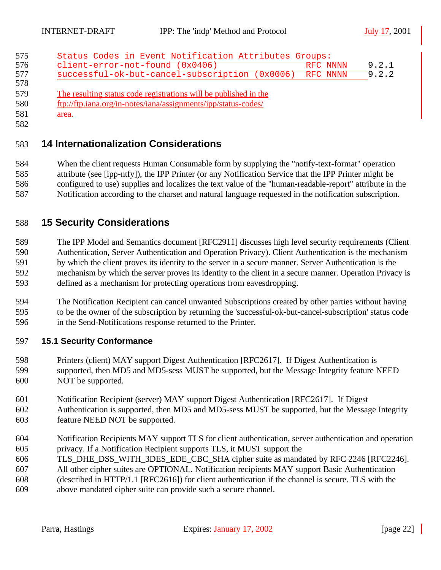| Status Codes in Event Notification Attributes Groups:            |          |
|------------------------------------------------------------------|----------|
| client-error-not-found (0x0406)                                  | RFC NNNN |
| successful-ok-but-cancel-subscription (0x0006)                   | RFC NNNN |
|                                                                  |          |
| The resulting status code registrations will be published in the |          |
| ftp://ftp.iana.org/in-notes/iana/assignments/ipp/status-codes/   |          |

# **14 Internationalization Considerations**

 When the client requests Human Consumable form by supplying the "notify-text-format" operation attribute (see [ipp-ntfy]), the IPP Printer (or any Notification Service that the IPP Printer might be configured to use) supplies and localizes the text value of the "human-readable-report" attribute in the Notification according to the charset and natural language requested in the notification subscription.

# **15 Security Considerations**

 The IPP Model and Semantics document [RFC2911] discusses high level security requirements (Client Authentication, Server Authentication and Operation Privacy). Client Authentication is the mechanism by which the client proves its identity to the server in a secure manner. Server Authentication is the mechanism by which the server proves its identity to the client in a secure manner. Operation Privacy is defined as a mechanism for protecting operations from eavesdropping.

 The Notification Recipient can cancel unwanted Subscriptions created by other parties without having to be the owner of the subscription by returning the 'successful-ok-but-cancel-subscription' status code in the Send-Notifications response returned to the Printer.

# **15.1 Security Conformance**

- Printers (client) MAY support Digest Authentication [RFC2617]. If Digest Authentication is supported, then MD5 and MD5-sess MUST be supported, but the Message Integrity feature NEED NOT be supported.
- Notification Recipient (server) MAY support Digest Authentication [RFC2617]. If Digest
- Authentication is supported, then MD5 and MD5-sess MUST be supported, but the Message Integrity feature NEED NOT be supported.
- Notification Recipients MAY support TLS for client authentication, server authentication and operation privacy. If a Notification Recipient supports TLS, it MUST support the
- TLS\_DHE\_DSS\_WITH\_3DES\_EDE\_CBC\_SHA cipher suite as mandated by RFC 2246 [RFC2246].
- All other cipher suites are OPTIONAL. Notification recipients MAY support Basic Authentication
- (described in HTTP/1.1 [RFC2616]) for client authentication if the channel is secure. TLS with the
- above mandated cipher suite can provide such a secure channel.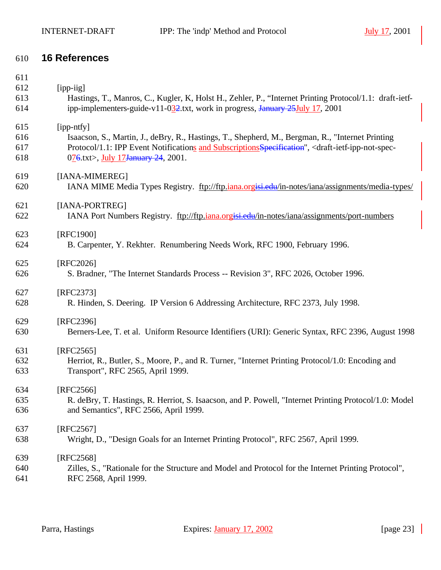# **16 References**

| 611 |                                                                                                                                       |
|-----|---------------------------------------------------------------------------------------------------------------------------------------|
| 612 | [ipp-iig]                                                                                                                             |
| 613 | Hastings, T., Manros, C., Kugler, K., Holst H., Zehler, P., "Internet Printing Protocol/1.1: draft-ietf-                              |
| 614 | ipp-implementers-guide-v11-032.txt, work in progress, January 25 July 17, 2001                                                        |
| 615 | [ipp-ntfy]                                                                                                                            |
| 616 | Isaacson, S., Martin, J., deBry, R., Hastings, T., Shepherd, M., Bergman, R., "Internet Printing                                      |
| 617 | Protocol/1.1: IPP Event Notifications and Subscriptions Specification", <draft-ietf-ipp-not-spec-< td=""></draft-ietf-ipp-not-spec-<> |
| 618 | 076.txt>, July 17January 24, 2001.                                                                                                    |
| 619 | [IANA-MIMEREG]                                                                                                                        |
| 620 | IANA MIME Media Types Registry. ftp://ftp.iana.orgisi.edu/in-notes/iana/assignments/media-types/                                      |
| 621 | [IANA-PORTREG]                                                                                                                        |
| 622 | IANA Port Numbers Registry. ftp://ftp.jana.orgisi.edu/in-notes/iana/assignments/port-numbers                                          |
| 623 | [RFC1900]                                                                                                                             |
| 624 | B. Carpenter, Y. Rekhter. Renumbering Needs Work, RFC 1900, February 1996.                                                            |
| 625 | [RFC2026]                                                                                                                             |
| 626 | S. Bradner, "The Internet Standards Process -- Revision 3", RFC 2026, October 1996.                                                   |
| 627 | [RFC2373]                                                                                                                             |
| 628 | R. Hinden, S. Deering. IP Version 6 Addressing Architecture, RFC 2373, July 1998.                                                     |
| 629 | [RFC2396]                                                                                                                             |
| 630 | Berners-Lee, T. et al. Uniform Resource Identifiers (URI): Generic Syntax, RFC 2396, August 1998                                      |
| 631 | $[RFC2565]$                                                                                                                           |
| 632 | Herriot, R., Butler, S., Moore, P., and R. Turner, "Internet Printing Protocol/1.0: Encoding and                                      |
| 633 | Transport", RFC 2565, April 1999.                                                                                                     |
| 634 | [RFC2566]                                                                                                                             |
| 635 | R. deBry, T. Hastings, R. Herriot, S. Isaacson, and P. Powell, "Internet Printing Protocol/1.0: Model                                 |
| 636 | and Semantics", RFC 2566, April 1999.                                                                                                 |
| 637 | [RFC2567]                                                                                                                             |
| 638 | Wright, D., "Design Goals for an Internet Printing Protocol", RFC 2567, April 1999.                                                   |
| 639 | [RFC2568]                                                                                                                             |
| 640 | Zilles, S., "Rationale for the Structure and Model and Protocol for the Internet Printing Protocol",                                  |
| 641 | RFC 2568, April 1999.                                                                                                                 |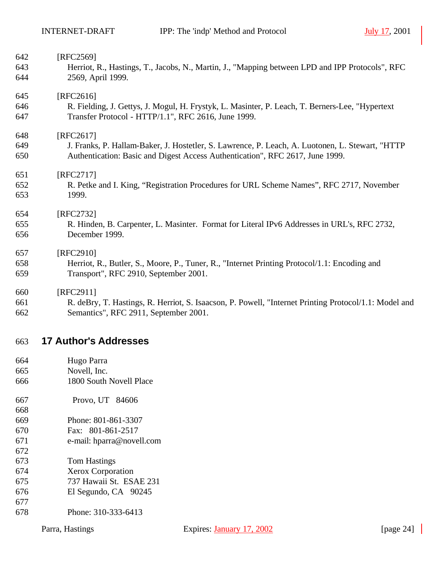| 642 | [RFC2569]                                                                                             |
|-----|-------------------------------------------------------------------------------------------------------|
| 643 | Herriot, R., Hastings, T., Jacobs, N., Martin, J., "Mapping between LPD and IPP Protocols", RFC       |
| 644 | 2569, April 1999.                                                                                     |
| 645 | [RFC2616]                                                                                             |
| 646 | R. Fielding, J. Gettys, J. Mogul, H. Frystyk, L. Masinter, P. Leach, T. Berners-Lee, "Hypertext       |
| 647 | Transfer Protocol - HTTP/1.1", RFC 2616, June 1999.                                                   |
| 648 | [RFC2617]                                                                                             |
| 649 | J. Franks, P. Hallam-Baker, J. Hostetler, S. Lawrence, P. Leach, A. Luotonen, L. Stewart, "HTTP       |
| 650 | Authentication: Basic and Digest Access Authentication", RFC 2617, June 1999.                         |
| 651 | [RFC2717]                                                                                             |
| 652 | R. Petke and I. King, "Registration Procedures for URL Scheme Names", RFC 2717, November              |
| 653 | 1999.                                                                                                 |
| 654 | [RFC2732]                                                                                             |
| 655 | R. Hinden, B. Carpenter, L. Masinter. Format for Literal IPv6 Addresses in URL's, RFC 2732,           |
| 656 | December 1999.                                                                                        |
| 657 | [RFC2910]                                                                                             |
| 658 | Herriot, R., Butler, S., Moore, P., Tuner, R., "Internet Printing Protocol/1.1: Encoding and          |
| 659 | Transport", RFC 2910, September 2001.                                                                 |
| 660 | [RFC2911]                                                                                             |
| 661 | R. deBry, T. Hastings, R. Herriot, S. Isaacson, P. Powell, "Internet Printing Protocol/1.1: Model and |

Semantics", RFC 2911, September 2001.

# **17 Author's Addresses**

- Hugo Parra Novell, Inc.
- 1800 South Novell Place
- Provo, UT 84606
- Phone: 801-861-3307
- Fax: 801-861-2517
- e-mail: hparra@novell.com
- Tom Hastings
- Xerox Corporation
- 737 Hawaii St. ESAE 231
- El Segundo, CA 90245
- Phone: 310-333-6413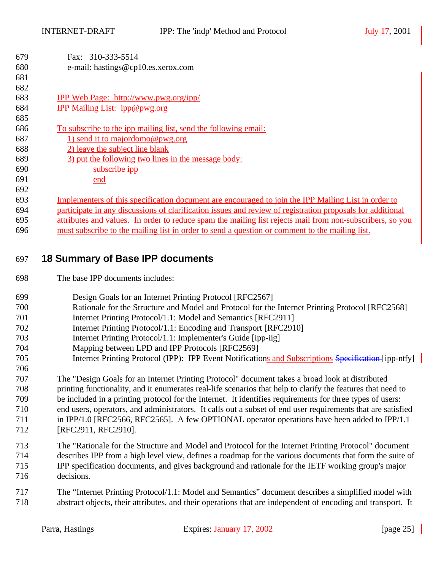| 679<br>680 | Fax: 310-333-5514<br>e-mail: hastings@cp10.es.xerox.com                                                                                                     |
|------------|-------------------------------------------------------------------------------------------------------------------------------------------------------------|
| 681        |                                                                                                                                                             |
| 682        |                                                                                                                                                             |
| 683        | <b>IPP Web Page: http://www.pwg.org/ipp/</b>                                                                                                                |
| 684        | IPP Mailing List: ipp@pwg.org                                                                                                                               |
| 685        |                                                                                                                                                             |
| 686<br>687 | To subscribe to the ipp mailing list, send the following email:<br>1) send it to majordomo@pwg.org                                                          |
| 688        | 2) leave the subject line blank                                                                                                                             |
| 689        | 3) put the following two lines in the message body:                                                                                                         |
| 690        | subscribe ipp                                                                                                                                               |
| 691        | end                                                                                                                                                         |
| 692        |                                                                                                                                                             |
| 693        | Implementers of this specification document are encouraged to join the IPP Mailing List in order to                                                         |
| 694        | participate in any discussions of clarification issues and review of registration proposals for additional                                                  |
| 695        | attributes and values. In order to reduce spam the mailing list rejects mail from non-subscribers, so you                                                   |
| 696        | must subscribe to the mailing list in order to send a question or comment to the mailing list.                                                              |
| 698        | The base IPP documents includes:                                                                                                                            |
|            |                                                                                                                                                             |
| 699<br>700 | Design Goals for an Internet Printing Protocol [RFC2567]<br>Rationale for the Structure and Model and Protocol for the Internet Printing Protocol [RFC2568] |
| 701        | Internet Printing Protocol/1.1: Model and Semantics [RFC2911]                                                                                               |
| 702        | Internet Printing Protocol/1.1: Encoding and Transport [RFC2910]                                                                                            |
| 703        | Internet Printing Protocol/1.1: Implementer's Guide [ipp-iig]                                                                                               |
| 704        | Mapping between LPD and IPP Protocols [RFC2569]                                                                                                             |
| 705        | Internet Printing Protocol (IPP): IPP Event Notifications and Subscriptions Specification-[ipp-ntfy]                                                        |
| 706        |                                                                                                                                                             |
| 707        | The "Design Goals for an Internet Printing Protocol" document takes a broad look at distributed                                                             |
| 708        | printing functionality, and it enumerates real-life scenarios that help to clarify the features that need to                                                |
| 709        | be included in a printing protocol for the Internet. It identifies requirements for three types of users:                                                   |
| 710        | end users, operators, and administrators. It calls out a subset of end user requirements that are satisfied                                                 |
| 711        | in IPP/1.0 [RFC2566, RFC2565]. A few OPTIONAL operator operations have been added to IPP/1.1                                                                |
| 712        | [RFC2911, RFC2910].                                                                                                                                         |
| 713        | The "Rationale for the Structure and Model and Protocol for the Internet Printing Protocol" document                                                        |
| 714        | describes IPP from a high level view, defines a roadmap for the various documents that form the suite of                                                    |
| 715        | IPP specification documents, and gives background and rationale for the IETF working group's major                                                          |
| 716        | decisions.                                                                                                                                                  |

 The "Internet Printing Protocol/1.1: Model and Semantics" document describes a simplified model with abstract objects, their attributes, and their operations that are independent of encoding and transport. It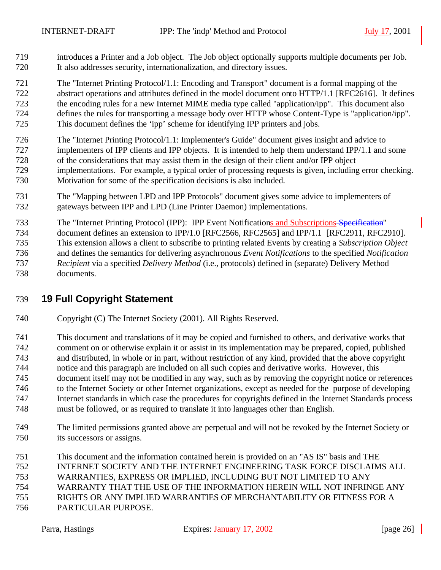introduces a Printer and a Job object. The Job object optionally supports multiple documents per Job. It also addresses security, internationalization, and directory issues.

 The "Internet Printing Protocol/1.1: Encoding and Transport" document is a formal mapping of the abstract operations and attributes defined in the model document onto HTTP/1.1 [RFC2616]. It defines the encoding rules for a new Internet MIME media type called "application/ipp". This document also defines the rules for transporting a message body over HTTP whose Content-Type is "application/ipp". This document defines the 'ipp' scheme for identifying IPP printers and jobs.

- The "Internet Printing Protocol/1.1: Implementer's Guide" document gives insight and advice to implementers of IPP clients and IPP objects. It is intended to help them understand IPP/1.1 and some of the considerations that may assist them in the design of their client and/or IPP object implementations. For example, a typical order of processing requests is given, including error checking. Motivation for some of the specification decisions is also included.
- The "Mapping between LPD and IPP Protocols" document gives some advice to implementers of gateways between IPP and LPD (Line Printer Daemon) implementations.
- The "Internet Printing Protocol (IPP): IPP Event Notifications and Subscriptions Specification" document defines an extension to IPP/1.0 [RFC2566, RFC2565] and IPP/1.1 [RFC2911, RFC2910]. This extension allows a client to subscribe to printing related Events by creating a *Subscription Object* and defines the semantics for delivering asynchronous *Event Notifications* to the specified *Notification Recipient* via a specified *Delivery Method* (i.e., protocols) defined in (separate) Delivery Method documents.

# **19 Full Copyright Statement**

- Copyright (C) The Internet Society (2001). All Rights Reserved.
- This document and translations of it may be copied and furnished to others, and derivative works that comment on or otherwise explain it or assist in its implementation may be prepared, copied, published and distributed, in whole or in part, without restriction of any kind, provided that the above copyright notice and this paragraph are included on all such copies and derivative works. However, this document itself may not be modified in any way, such as by removing the copyright notice or references to the Internet Society or other Internet organizations, except as needed for the purpose of developing Internet standards in which case the procedures for copyrights defined in the Internet Standards process must be followed, or as required to translate it into languages other than English.
- The limited permissions granted above are perpetual and will not be revoked by the Internet Society or its successors or assigns.
- This document and the information contained herein is provided on an "AS IS" basis and THE
- INTERNET SOCIETY AND THE INTERNET ENGINEERING TASK FORCE DISCLAIMS ALL
- WARRANTIES, EXPRESS OR IMPLIED, INCLUDING BUT NOT LIMITED TO ANY
- WARRANTY THAT THE USE OF THE INFORMATION HEREIN WILL NOT INFRINGE ANY
- RIGHTS OR ANY IMPLIED WARRANTIES OF MERCHANTABILITY OR FITNESS FOR A
- PARTICULAR PURPOSE.